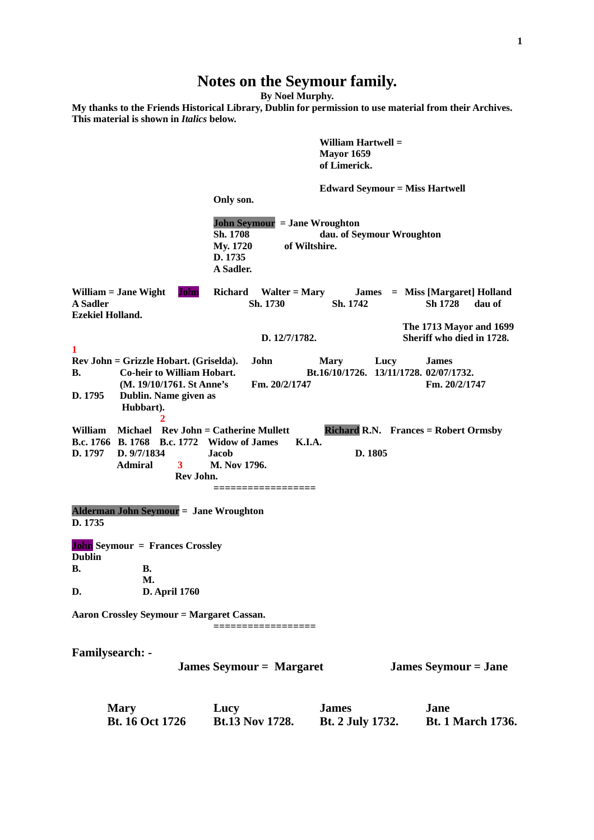## **Notes on the Seymour family.**

**By Noel Murphy.**

**My thanks to the Friends Historical Library, Dublin for permission to use material from their Archives. This material is shown in** *Italics* **below.**

**William Hartwell = Mayor 1659 of Limerick. Edward Seymour = Miss Hartwell Only son. John Seymour = Jane Wroughton Sh. 1708 dau. of Seymour Wroughton My. 1720 of Wiltshire. D. 1735 A Sadler. William = Jane Wight John Richard Walter = Mary James = Miss [Margaret] Holland A Sadler Sh. 1730 Sh. 1742 Sh 1728 dau of Ezekiel Holland. The 1713 Mayor and 1699 D. 12/7/1782. Sheriff who died in 1728. 1 Rev John = Grizzle Hobart. (Griselda). John Mary Lucy James B. Co-heir to William Hobart. Bt.16/10/1726. 13/11/1728. 02/07/1732. (M. 19/10/1761. St Anne's Fm. 20/2/1747 Fm. 20/2/1747 D. 1795 Dublin. Name given as Hubbart). 2** William Michael Rev John = Catherine Mullett Richard R.N. Frances = Robert Ormsby **B.c. 1766 B. 1768 B.c. 1772 Widow of James K.I.A. D. 1797 D. 9/7/1834 Jacob D. 1805 Admiral 3 M. Nov 1796. Rev John. ================== Alderman John Seymour = Jane Wroughton D. 1735 John Seymour = Frances Crossley Dublin B. B. M. D. D. April 1760 Aaron Crossley Seymour = Margaret Cassan. ================== Familysearch: - James Seymour = Margaret James Seymour = Jane**

**Mary Lucy James Jane Bt. 16 Oct 1726 Bt.13 Nov 1728. Bt. 2 July 1732. Bt. 1 March 1736.**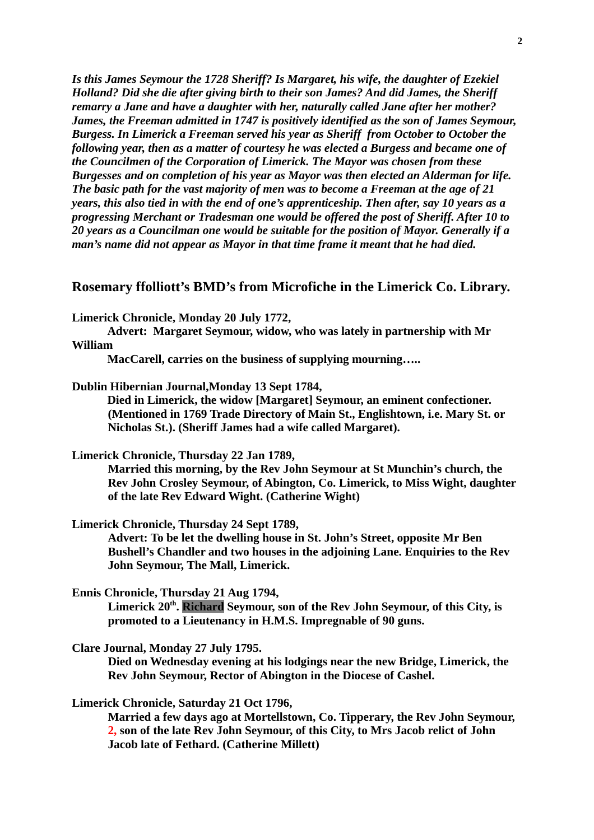*Is this James Seymour the 1728 Sheriff? Is Margaret, his wife, the daughter of Ezekiel Holland? Did she die after giving birth to their son James? And did James, the Sheriff remarry a Jane and have a daughter with her, naturally called Jane after her mother? James, the Freeman admitted in 1747 is positively identified as the son of James Seymour, Burgess. In Limerick a Freeman served his year as Sheriff from October to October the following year, then as a matter of courtesy he was elected a Burgess and became one of the Councilmen of the Corporation of Limerick. The Mayor was chosen from these Burgesses and on completion of his year as Mayor was then elected an Alderman for life. The basic path for the vast majority of men was to become a Freeman at the age of 21 years, this also tied in with the end of one's apprenticeship. Then after, say 10 years as a progressing Merchant or Tradesman one would be offered the post of Sheriff. After 10 to 20 years as a Councilman one would be suitable for the position of Mayor. Generally if a man's name did not appear as Mayor in that time frame it meant that he had died.*

#### **Rosemary ffolliott's BMD's from Microfiche in the Limerick Co. Library.**

**Limerick Chronicle, Monday 20 July 1772,**

**Advert: Margaret Seymour, widow, who was lately in partnership with Mr William** 

**MacCarell, carries on the business of supplying mourning…..**

**Dublin Hibernian Journal,Monday 13 Sept 1784,**

**Died in Limerick, the widow [Margaret] Seymour, an eminent confectioner. (Mentioned in 1769 Trade Directory of Main St., Englishtown, i.e. Mary St. or Nicholas St.). (Sheriff James had a wife called Margaret).**

**Limerick Chronicle, Thursday 22 Jan 1789,**

**Married this morning, by the Rev John Seymour at St Munchin's church, the Rev John Crosley Seymour, of Abington, Co. Limerick, to Miss Wight, daughter of the late Rev Edward Wight. (Catherine Wight)**

**Limerick Chronicle, Thursday 24 Sept 1789,**

**Advert: To be let the dwelling house in St. John's Street, opposite Mr Ben Bushell's Chandler and two houses in the adjoining Lane. Enquiries to the Rev John Seymour, The Mall, Limerick.**

**Ennis Chronicle, Thursday 21 Aug 1794,** 

Limerick 20<sup>th</sup>. Richard Seymour, son of the Rev John Seymour, of this City, is **promoted to a Lieutenancy in H.M.S. Impregnable of 90 guns.**

**Clare Journal, Monday 27 July 1795.** 

**Died on Wednesday evening at his lodgings near the new Bridge, Limerick, the Rev John Seymour, Rector of Abington in the Diocese of Cashel.**

**Limerick Chronicle, Saturday 21 Oct 1796,** 

**Married a few days ago at Mortellstown, Co. Tipperary, the Rev John Seymour, 2, son of the late Rev John Seymour, of this City, to Mrs Jacob relict of John Jacob late of Fethard. (Catherine Millett)**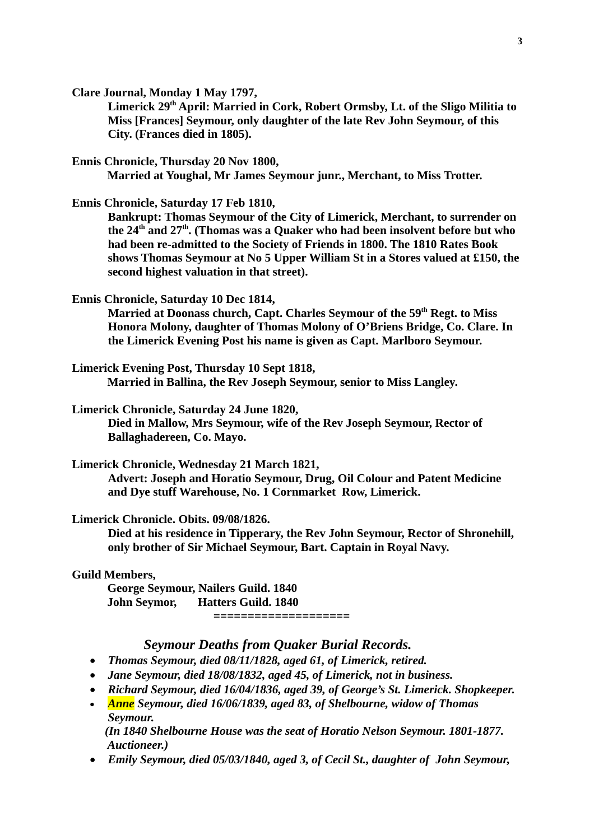**Clare Journal, Monday 1 May 1797,**

Limerick 29<sup>th</sup> April: Married in Cork, Robert Ormsby, Lt. of the Sligo Militia to **Miss [Frances] Seymour, only daughter of the late Rev John Seymour, of this City. (Frances died in 1805).**

**Ennis Chronicle, Thursday 20 Nov 1800,**

**Married at Youghal, Mr James Seymour junr., Merchant, to Miss Trotter.**

**Ennis Chronicle, Saturday 17 Feb 1810,**

**Bankrupt: Thomas Seymour of the City of Limerick, Merchant, to surrender on the 24th and 27th. (Thomas was a Quaker who had been insolvent before but who had been re-admitted to the Society of Friends in 1800. The 1810 Rates Book shows Thomas Seymour at No 5 Upper William St in a Stores valued at £150, the second highest valuation in that street).**

**Ennis Chronicle, Saturday 10 Dec 1814,**

**Married at Doonass church, Capt. Charles Seymour of the 59th Regt. to Miss Honora Molony, daughter of Thomas Molony of O'Briens Bridge, Co. Clare. In the Limerick Evening Post his name is given as Capt. Marlboro Seymour.**

**Limerick Evening Post, Thursday 10 Sept 1818, Married in Ballina, the Rev Joseph Seymour, senior to Miss Langley.**

**Limerick Chronicle, Saturday 24 June 1820,**

**Died in Mallow, Mrs Seymour, wife of the Rev Joseph Seymour, Rector of Ballaghadereen, Co. Mayo.**

**Limerick Chronicle, Wednesday 21 March 1821,**

**Advert: Joseph and Horatio Seymour, Drug, Oil Colour and Patent Medicine and Dye stuff Warehouse, No. 1 Cornmarket Row, Limerick.**

**Limerick Chronicle. Obits. 09/08/1826.**

**Died at his residence in Tipperary, the Rev John Seymour, Rector of Shronehill, only brother of Sir Michael Seymour, Bart. Captain in Royal Navy.**

**Guild Members,**

**George Seymour, Nailers Guild. 1840 John Seymor, Hatters Guild. 1840**

**====================**

### *Seymour Deaths from Quaker Burial Records.*

- *Thomas Seymour, died 08/11/1828, aged 61, of Limerick, retired.*
- *Jane Seymour, died 18/08/1832, aged 45, of Limerick, not in business.*
- *Richard Seymour, died 16/04/1836, aged 39, of George's St. Limerick. Shopkeeper.*
- *Anne Seymour, died 16/06/1839, aged 83, of Shelbourne, widow of Thomas Seymour. (In 1840 Shelbourne House was the seat of Horatio Nelson Seymour. 1801-1877. Auctioneer.)*
- *Emily Seymour, died 05/03/1840, aged 3, of Cecil St., daughter of John Seymour,*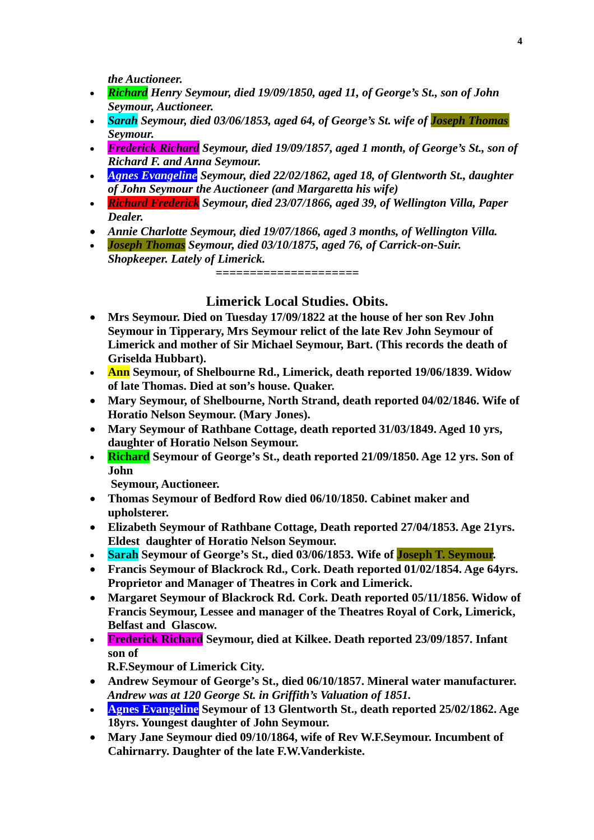*the Auctioneer.*

- *Richard Henry Seymour, died 19/09/1850, aged 11, of George's St., son of John Seymour, Auctioneer.*
- *Sarah Seymour, died 03/06/1853, aged 64, of George's St. wife of Joseph Thomas Seymour.*
- *Frederick Richard Seymour, died 19/09/1857, aged 1 month, of George's St., son of Richard F. and Anna Seymour.*
- *Agnes Evangeline Seymour, died 22/02/1862, aged 18, of Glentworth St., daughter of John Seymour the Auctioneer (and Margaretta his wife)*
- *Richard Frederick Seymour, died 23/07/1866, aged 39, of Wellington Villa, Paper Dealer.*
- *Annie Charlotte Seymour, died 19/07/1866, aged 3 months, of Wellington Villa.*
- *Joseph Thomas Seymour, died 03/10/1875, aged 76, of Carrick-on-Suir. Shopkeeper. Lately of Limerick.*

**=====================**

## **Limerick Local Studies. Obits.**

- **Mrs Seymour. Died on Tuesday 17/09/1822 at the house of her son Rev John Seymour in Tipperary, Mrs Seymour relict of the late Rev John Seymour of Limerick and mother of Sir Michael Seymour, Bart. (This records the death of Griselda Hubbart).**
- **Ann Seymour, of Shelbourne Rd., Limerick, death reported 19/06/1839. Widow of late Thomas. Died at son's house. Quaker.**
- **Mary Seymour, of Shelbourne, North Strand, death reported 04/02/1846. Wife of Horatio Nelson Seymour. (Mary Jones).**
- **Mary Seymour of Rathbane Cottage, death reported 31/03/1849. Aged 10 yrs, daughter of Horatio Nelson Seymour.**
- **Richard Seymour of George's St., death reported 21/09/1850. Age 12 yrs. Son of John**

 **Seymour, Auctioneer.**

- **Thomas Seymour of Bedford Row died 06/10/1850. Cabinet maker and upholsterer.**
- **Elizabeth Seymour of Rathbane Cottage, Death reported 27/04/1853. Age 21yrs. Eldest daughter of Horatio Nelson Seymour.**
- **Sarah Seymour of George's St., died 03/06/1853. Wife of Joseph T. Seymour.**
- **Francis Seymour of Blackrock Rd., Cork. Death reported 01/02/1854. Age 64yrs. Proprietor and Manager of Theatres in Cork and Limerick.**
- **Margaret Seymour of Blackrock Rd. Cork. Death reported 05/11/1856. Widow of Francis Seymour, Lessee and manager of the Theatres Royal of Cork, Limerick, Belfast and Glascow.**
- **Frederick Richard Seymour, died at Kilkee. Death reported 23/09/1857. Infant son of**

**R.F.Seymour of Limerick City.**

- **Andrew Seymour of George's St., died 06/10/1857. Mineral water manufacturer.**  *Andrew was at 120 George St. in Griffith's Valuation of 1851.*
- **Agnes Evangeline Seymour of 13 Glentworth St., death reported 25/02/1862. Age 18yrs. Youngest daughter of John Seymour.**
- **Mary Jane Seymour died 09/10/1864, wife of Rev W.F.Seymour. Incumbent of Cahirnarry. Daughter of the late F.W.Vanderkiste.**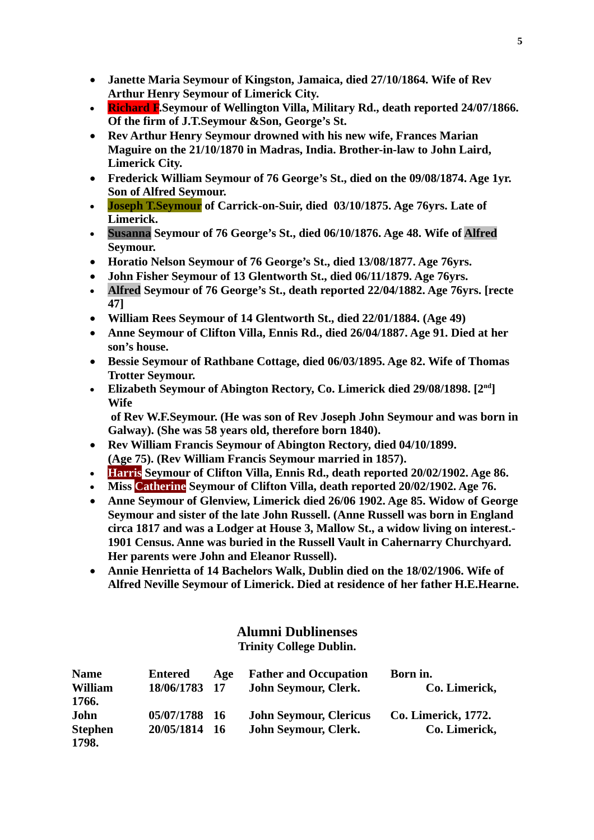- **Janette Maria Seymour of Kingston, Jamaica, died 27/10/1864. Wife of Rev Arthur Henry Seymour of Limerick City.**
- **Richard F.Seymour of Wellington Villa, Military Rd., death reported 24/07/1866. Of the firm of J.T.Seymour &Son, George's St.**
- **Rev Arthur Henry Seymour drowned with his new wife, Frances Marian Maguire on the 21/10/1870 in Madras, India. Brother-in-law to John Laird, Limerick City.**
- **Frederick William Seymour of 76 George's St., died on the 09/08/1874. Age 1yr. Son of Alfred Seymour.**
- **Joseph T.Seymour of Carrick-on-Suir, died 03/10/1875. Age 76yrs. Late of Limerick.**
- **Susanna Seymour of 76 George's St., died 06/10/1876. Age 48. Wife of Alfred Seymour.**
- **Horatio Nelson Seymour of 76 George's St., died 13/08/1877. Age 76yrs.**
- **John Fisher Seymour of 13 Glentworth St., died 06/11/1879. Age 76yrs.**
- **Alfred Seymour of 76 George's St., death reported 22/04/1882. Age 76yrs. [recte 47]**
- **William Rees Seymour of 14 Glentworth St., died 22/01/1884. (Age 49)**
- **Anne Seymour of Clifton Villa, Ennis Rd., died 26/04/1887. Age 91. Died at her son's house.**
- **Bessie Seymour of Rathbane Cottage, died 06/03/1895. Age 82. Wife of Thomas Trotter Seymour.**
- **Elizabeth Seymour of Abington Rectory, Co. Limerick died 29/08/1898. [2nd] Wife**

 **of Rev W.F.Seymour. (He was son of Rev Joseph John Seymour and was born in Galway). (She was 58 years old, therefore born 1840).**

- **Rev William Francis Seymour of Abington Rectory, died 04/10/1899. (Age 75). (Rev William Francis Seymour married in 1857).**
- **Harris Seymour of Clifton Villa, Ennis Rd., death reported 20/02/1902. Age 86.**
- **Miss Catherine Seymour of Clifton Villa, death reported 20/02/1902. Age 76.**
- **Anne Seymour of Glenview, Limerick died 26/06 1902. Age 85. Widow of George Seymour and sister of the late John Russell. (Anne Russell was born in England circa 1817 and was a Lodger at House 3, Mallow St., a widow living on interest.- 1901 Census. Anne was buried in the Russell Vault in Cahernarry Churchyard. Her parents were John and Eleanor Russell).**
- **Annie Henrietta of 14 Bachelors Walk, Dublin died on the 18/02/1906. Wife of Alfred Neville Seymour of Limerick. Died at residence of her father H.E.Hearne.**

# **Alumni Dublinenses**

# **Trinity College Dublin.**

| <b>Name</b>    | <b>Entered</b> | Age  | <b>Father and Occupation</b>  | Born in.                   |
|----------------|----------------|------|-------------------------------|----------------------------|
| <b>William</b> | 18/06/1783 17  |      | John Seymour, Clerk.          | Co. Limerick,              |
| 1766.          |                |      |                               |                            |
| John           | 05/07/1788 16  |      | <b>John Seymour, Clericus</b> | <b>Co. Limerick, 1772.</b> |
| <b>Stephen</b> | 20/05/1814     | - 16 | John Seymour, Clerk.          | Co. Limerick,              |
| 1798.          |                |      |                               |                            |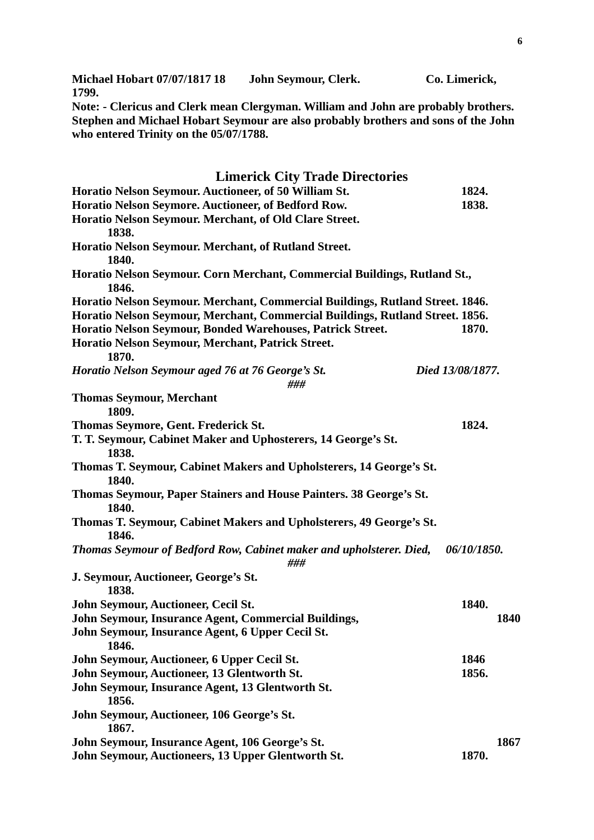**Michael Hobart 07/07/1817 18 John Seymour, Clerk. Co. Limerick, 1799.**

**Note: - Clericus and Clerk mean Clergyman. William and John are probably brothers. Stephen and Michael Hobart Seymour are also probably brothers and sons of the John who entered Trinity on the 05/07/1788.**

| <b>Limerick City Trade Directories</b>                                                                                                                                                                                                                                            |                  |      |
|-----------------------------------------------------------------------------------------------------------------------------------------------------------------------------------------------------------------------------------------------------------------------------------|------------------|------|
| Horatio Nelson Seymour. Auctioneer, of 50 William St.                                                                                                                                                                                                                             | 1824.            |      |
| Horatio Nelson Seymore. Auctioneer, of Bedford Row.                                                                                                                                                                                                                               | 1838.            |      |
| Horatio Nelson Seymour. Merchant, of Old Clare Street.<br>1838.                                                                                                                                                                                                                   |                  |      |
| Horatio Nelson Seymour. Merchant, of Rutland Street.<br>1840.                                                                                                                                                                                                                     |                  |      |
| Horatio Nelson Seymour. Corn Merchant, Commercial Buildings, Rutland St.,<br>1846.                                                                                                                                                                                                |                  |      |
| Horatio Nelson Seymour. Merchant, Commercial Buildings, Rutland Street. 1846.<br>Horatio Nelson Seymour, Merchant, Commercial Buildings, Rutland Street. 1856.<br>Horatio Nelson Seymour, Bonded Warehouses, Patrick Street.<br>Horatio Nelson Seymour, Merchant, Patrick Street. | 1870.            |      |
| 1870.                                                                                                                                                                                                                                                                             |                  |      |
| Horatio Nelson Seymour aged 76 at 76 George's St.<br>###                                                                                                                                                                                                                          | Died 13/08/1877. |      |
| <b>Thomas Seymour, Merchant</b><br>1809.                                                                                                                                                                                                                                          |                  |      |
| Thomas Seymore, Gent. Frederick St.                                                                                                                                                                                                                                               | 1824.            |      |
| T. T. Seymour, Cabinet Maker and Uphosterers, 14 George's St.<br>1838.                                                                                                                                                                                                            |                  |      |
| Thomas T. Seymour, Cabinet Makers and Upholsterers, 14 George's St.<br>1840.                                                                                                                                                                                                      |                  |      |
| Thomas Seymour, Paper Stainers and House Painters. 38 George's St.<br>1840.                                                                                                                                                                                                       |                  |      |
| Thomas T. Seymour, Cabinet Makers and Upholsterers, 49 George's St.<br>1846.                                                                                                                                                                                                      |                  |      |
| Thomas Seymour of Bedford Row, Cabinet maker and upholsterer. Died,<br>###                                                                                                                                                                                                        | 06/10/1850.      |      |
| J. Seymour, Auctioneer, George's St.<br>1838.                                                                                                                                                                                                                                     |                  |      |
| John Seymour, Auctioneer, Cecil St.                                                                                                                                                                                                                                               | 1840.            |      |
| John Seymour, Insurance Agent, Commercial Buildings,                                                                                                                                                                                                                              |                  | 1840 |
| John Seymour, Insurance Agent, 6 Upper Cecil St.<br>1846.                                                                                                                                                                                                                         |                  |      |
| John Seymour, Auctioneer, 6 Upper Cecil St.                                                                                                                                                                                                                                       | 1846             |      |
| John Seymour, Auctioneer, 13 Glentworth St.                                                                                                                                                                                                                                       | 1856.            |      |
| John Seymour, Insurance Agent, 13 Glentworth St.<br>1856.                                                                                                                                                                                                                         |                  |      |
| John Seymour, Auctioneer, 106 George's St.<br>1867.                                                                                                                                                                                                                               |                  |      |
| John Seymour, Insurance Agent, 106 George's St.                                                                                                                                                                                                                                   |                  | 1867 |
| John Seymour, Auctioneers, 13 Upper Glentworth St.                                                                                                                                                                                                                                | 1870.            |      |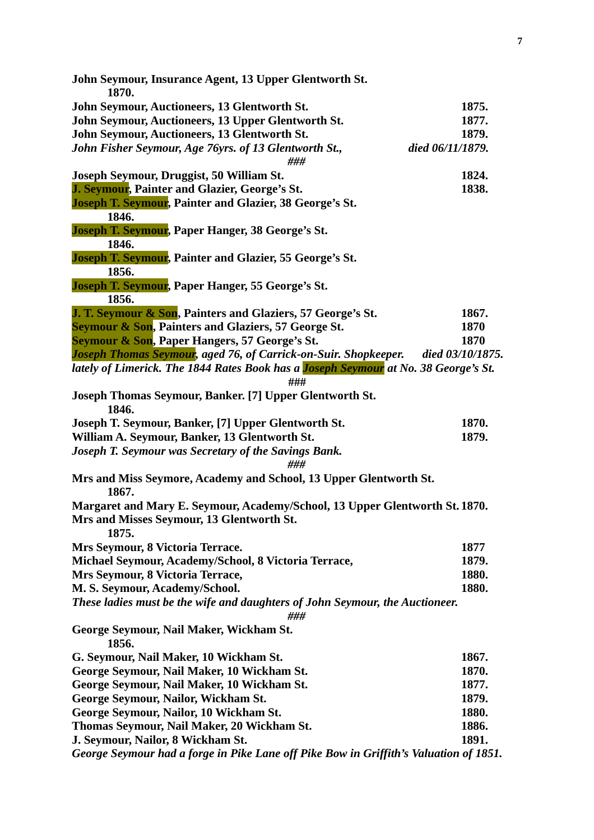| John Seymour, Insurance Agent, 13 Upper Glentworth St.<br>1870.                                   |                  |
|---------------------------------------------------------------------------------------------------|------------------|
| John Seymour, Auctioneers, 13 Glentworth St.                                                      | 1875.            |
| John Seymour, Auctioneers, 13 Upper Glentworth St.                                                | 1877.            |
| John Seymour, Auctioneers, 13 Glentworth St.                                                      | 1879.            |
| John Fisher Seymour, Age 76yrs. of 13 Glentworth St.,<br>died 06/11/1879.<br>###                  |                  |
| Joseph Seymour, Druggist, 50 William St.                                                          | 1824.            |
| J. Seymour, Painter and Glazier, George's St.                                                     | 1838.            |
| <b>Joseph T. Seymour, Painter and Glazier, 38 George's St.</b>                                    |                  |
| 1846.                                                                                             |                  |
| <b>Joseph T. Seymour, Paper Hanger, 38 George's St.</b>                                           |                  |
| 1846.                                                                                             |                  |
| Joseph T. Seymour, Painter and Glazier, 55 George's St.                                           |                  |
| 1856.                                                                                             |                  |
| <b>Joseph T. Seymour, Paper Hanger, 55 George's St.</b>                                           |                  |
| 1856.                                                                                             |                  |
| J. T. Seymour & Son, Painters and Glaziers, 57 George's St.                                       | 1867.            |
| <b>Seymour &amp; Son, Painters and Glaziers, 57 George St.</b>                                    | 1870             |
| <b>Seymour &amp; Son, Paper Hangers, 57 George's St.</b>                                          | 1870             |
| Joseph Thomas Seymour, aged 76, of Carrick-on-Suir. Shopkeeper.                                   | died 03/10/1875. |
| lately of Limerick. The 1844 Rates Book has a <b>Joseph Seymour</b> at No. 38 George's St.<br>### |                  |
| Joseph Thomas Seymour, Banker. [7] Upper Glentworth St.<br>1846.                                  |                  |
| Joseph T. Seymour, Banker, [7] Upper Glentworth St.                                               | 1870.            |
| William A. Seymour, Banker, 13 Glentworth St.                                                     | 1879.            |
| Joseph T. Seymour was Secretary of the Savings Bank.                                              |                  |
| ###                                                                                               |                  |
| Mrs and Miss Seymore, Academy and School, 13 Upper Glentworth St.<br>1867.                        |                  |
| Margaret and Mary E. Seymour, Academy/School, 13 Upper Glentworth St. 1870.                       |                  |
| Mrs and Misses Seymour, 13 Glentworth St.<br>1875.                                                |                  |
| Mrs Seymour, 8 Victoria Terrace.                                                                  | 1877             |
| Michael Seymour, Academy/School, 8 Victoria Terrace,                                              | 1879.            |
| Mrs Seymour, 8 Victoria Terrace,                                                                  | 1880.            |
| M. S. Seymour, Academy/School.                                                                    | 1880.            |
| These ladies must be the wife and daughters of John Seymour, the Auctioneer.<br>###               |                  |
| George Seymour, Nail Maker, Wickham St.<br>1856.                                                  |                  |
| G. Seymour, Nail Maker, 10 Wickham St.                                                            | 1867.            |
| George Seymour, Nail Maker, 10 Wickham St.                                                        | 1870.            |
| George Seymour, Nail Maker, 10 Wickham St.                                                        | 1877.            |
| George Seymour, Nailor, Wickham St.                                                               | 1879.            |
| George Seymour, Nailor, 10 Wickham St.                                                            | 1880.            |
| Thomas Seymour, Nail Maker, 20 Wickham St.                                                        | 1886.            |
| J. Seymour, Nailor, 8 Wickham St.                                                                 | 1891.            |
| George Seymour had a forge in Pike Lane off Pike Bow in Griffith's Valuation of 1851.             |                  |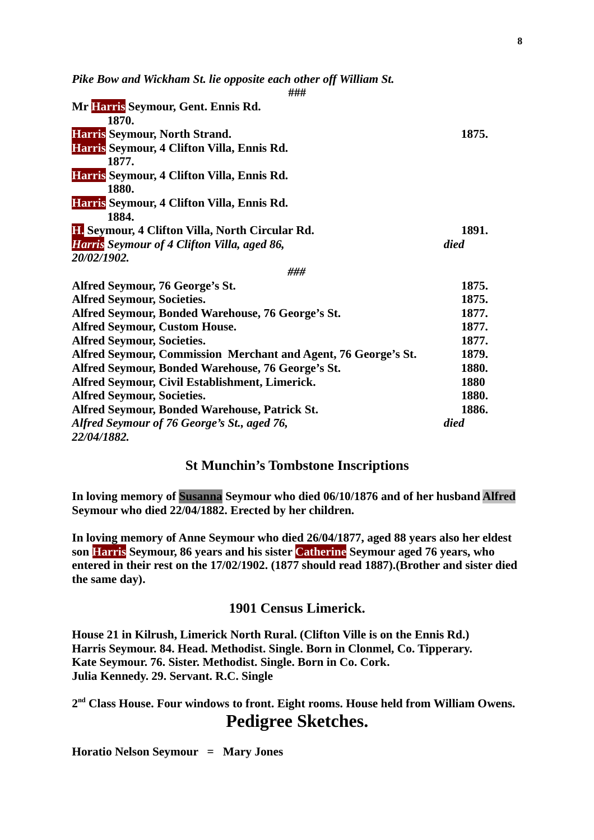*Pike Bow and Wickham St. lie opposite each other off William St.*

| ###                                                            |       |
|----------------------------------------------------------------|-------|
| Mr Harris Seymour, Gent. Ennis Rd.                             |       |
| 1870.                                                          |       |
| Harris Seymour, North Strand.                                  | 1875. |
| Harris Seymour, 4 Clifton Villa, Ennis Rd.                     |       |
| 1877.                                                          |       |
| Harris Seymour, 4 Clifton Villa, Ennis Rd.                     |       |
| 1880.                                                          |       |
| Harris Seymour, 4 Clifton Villa, Ennis Rd.                     |       |
| 1884.                                                          |       |
| <b>II.</b> Seymour, 4 Clifton Villa, North Circular Rd.        | 1891. |
| <b>Harris</b> Seymour of 4 Clifton Villa, aged 86,             | died  |
| 20/02/1902.                                                    |       |
| ###                                                            |       |
| Alfred Seymour, 76 George's St.                                | 1875. |
| <b>Alfred Seymour, Societies.</b>                              | 1875. |
| Alfred Seymour, Bonded Warehouse, 76 George's St.              | 1877. |
| <b>Alfred Seymour, Custom House.</b>                           | 1877. |
| <b>Alfred Seymour, Societies.</b>                              | 1877. |
| Alfred Seymour, Commission Merchant and Agent, 76 George's St. | 1879. |
| Alfred Seymour, Bonded Warehouse, 76 George's St.              | 1880. |
| Alfred Seymour, Civil Establishment, Limerick.                 | 1880  |
| <b>Alfred Seymour, Societies.</b>                              | 1880. |
| Alfred Seymour, Bonded Warehouse, Patrick St.                  | 1886. |
| Alfred Seymour of 76 George's St., aged 76,                    | died  |
| 22/04/1882.                                                    |       |

### **St Munchin's Tombstone Inscriptions**

**In loving memory of Susanna Seymour who died 06/10/1876 and of her husband Alfred Seymour who died 22/04/1882. Erected by her children.**

**In loving memory of Anne Seymour who died 26/04/1877, aged 88 years also her eldest son Harris Seymour, 86 years and his sister Catherine Seymour aged 76 years, who entered in their rest on the 17/02/1902. (1877 should read 1887).(Brother and sister died the same day).**

### **1901 Census Limerick.**

**House 21 in Kilrush, Limerick North Rural. (Clifton Ville is on the Ennis Rd.) Harris Seymour. 84. Head. Methodist. Single. Born in Clonmel, Co. Tipperary. Kate Seymour. 76. Sister. Methodist. Single. Born in Co. Cork. Julia Kennedy. 29. Servant. R.C. Single**

**2nd Class House. Four windows to front. Eight rooms. House held from William Owens. Pedigree Sketches.**

**Horatio Nelson Seymour = Mary Jones**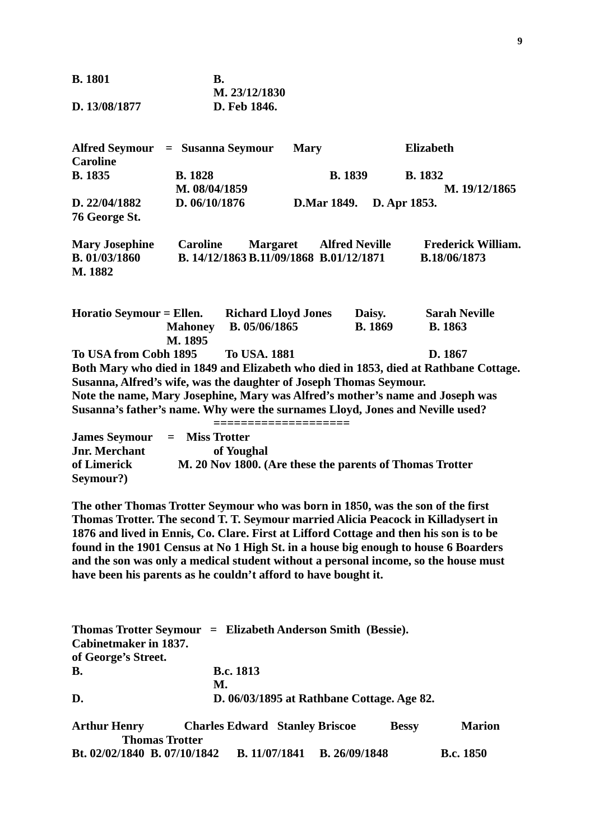| <b>B.</b> 1801 |               |
|----------------|---------------|
|                | M. 23/12/1830 |
| D. 13/08/1877  | D. Feb 1846.  |

| Alfred Seymour = Susanna Seymour<br><b>Caroline</b>                                  |                                 |                                                            | <b>Mary</b>        |                          | <b>Elizabeth</b>                                                              |  |
|--------------------------------------------------------------------------------------|---------------------------------|------------------------------------------------------------|--------------------|--------------------------|-------------------------------------------------------------------------------|--|
| <b>B.</b> 1835                                                                       | <b>B.</b> 1828<br>M. 08/04/1859 |                                                            | <b>B.</b> 1839     |                          | <b>B.</b> 1832<br>M. 19/12/1865                                               |  |
| D. 22/04/1882<br>76 George St.                                                       | D. 06/10/1876                   |                                                            | <b>D.Mar 1849.</b> |                          | D. Apr 1853.                                                                  |  |
| <b>Mary Josephine</b><br>B. 01/03/1860<br>M. 1882                                    | <b>Caroline</b>                 | <b>Margaret</b><br>B. 14/12/1863 B.11/09/1868 B.01/12/1871 |                    | <b>Alfred Neville</b>    | <b>Frederick William.</b><br>B.18/06/1873                                     |  |
| Horatio Seymour = Ellen. Richard Lloyd Jones                                         | <b>Mahoney</b><br>M. 1895       | B. 05/06/1865                                              |                    | Daisy.<br><b>B.</b> 1869 | <b>Sarah Neville</b><br><b>B.</b> 1863                                        |  |
| To USA from Cobh 1895                                                                |                                 | <b>To USA. 1881</b>                                        |                    |                          | D. 1867                                                                       |  |
| Both Mary who died in 1849 and Elizabeth who died in 1853, died at Rathbane Cottage. |                                 |                                                            |                    |                          |                                                                               |  |
| Susanna, Alfred's wife, was the daughter of Joseph Thomas Seymour.                   |                                 |                                                            |                    |                          |                                                                               |  |
|                                                                                      |                                 |                                                            |                    |                          | Note the name, Mary Josephine, Mary was Alfred's mother's name and Joseph was |  |
| Susanna's father's name. Why were the surnames Lloyd, Jones and Neville used?        |                                 |                                                            |                    |                          |                                                                               |  |
| <b>James Seymour</b><br><b>Jnr. Merchant</b><br>of Limerick<br>Seymour?)             | <b>Miss Trotter</b><br>$=$      | of Youghal                                                 |                    |                          | M. 20 Nov 1800. (Are these the parents of Thomas Trotter                      |  |

**The other Thomas Trotter Seymour who was born in 1850, was the son of the first Thomas Trotter. The second T. T. Seymour married Alicia Peacock in Killadysert in 1876 and lived in Ennis, Co. Clare. First at Lifford Cottage and then his son is to be found in the 1901 Census at No 1 High St. in a house big enough to house 6 Boarders and the son was only a medical student without a personal income, so the house must have been his parents as he couldn't afford to have bought it.**

|                              | Thomas Trotter Seymour = Elizabeth Anderson Smith (Bessie). |                                              |              |                  |
|------------------------------|-------------------------------------------------------------|----------------------------------------------|--------------|------------------|
| Cabinetmaker in 1837.        |                                                             |                                              |              |                  |
| of George's Street.          |                                                             |                                              |              |                  |
| <b>B.</b>                    | <b>B.c. 1813</b>                                            |                                              |              |                  |
|                              | М.                                                          |                                              |              |                  |
| D.                           |                                                             | D. 06/03/1895 at Rathbane Cottage. Age 82.   |              |                  |
| <b>Arthur Henry</b>          | <b>Charles Edward Stanley Briscoe</b>                       |                                              | <b>Bessy</b> | <b>Marion</b>    |
| <b>Thomas Trotter</b>        |                                                             |                                              |              |                  |
| Bt. 02/02/1840 B. 07/10/1842 |                                                             | <b>B.</b> 26/09/1848<br><b>B.</b> 11/07/1841 |              | <b>B.c.</b> 1850 |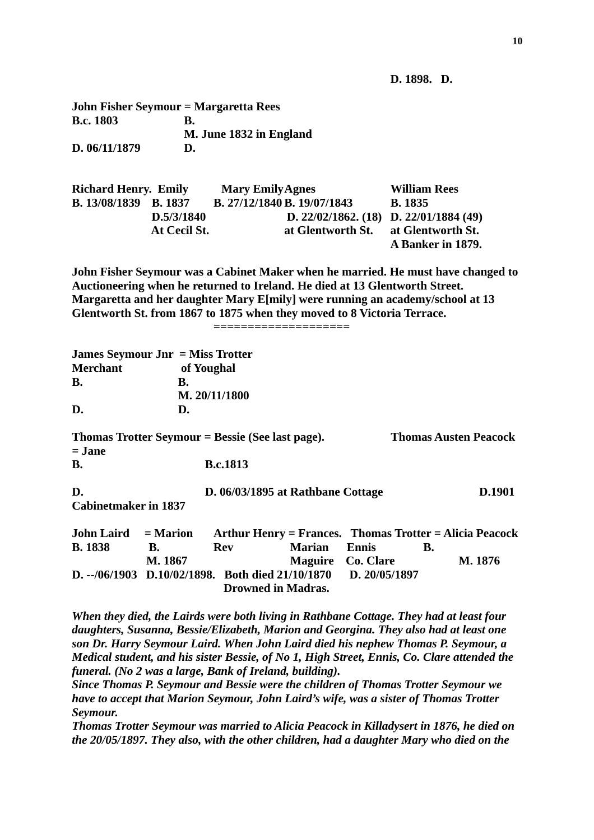**D. 1898. D.**

| <b>John Fisher Seymour = Margaretta Rees</b> |                         |
|----------------------------------------------|-------------------------|
| <b>B.c. 1803</b>                             | В.                      |
|                                              | M. June 1832 in England |

**D. 06/11/1879 D.**

**Richard Henry. Emily Mary EmilyAgnes William Rees B. 13/08/1839 B. 1837 B. 27/12/1840 B. 19/07/1843 B. 1835 D.5/3/1840 D. 22/02/1862. (18) D. 22/01/1884 (49) At Cecil St. at Glentworth St. at Glentworth St. A Banker in 1879.**

**John Fisher Seymour was a Cabinet Maker when he married. He must have changed to Auctioneering when he returned to Ireland. He died at 13 Glentworth Street. Margaretta and her daughter Mary E[mily] were running an academy/school at 13 Glentworth St. from 1867 to 1875 when they moved to 8 Victoria Terrace.**

**====================**

| <b>James Seymour Jnr</b> = Miss Trotter                      |            |                 |                                                         |               |    |                              |
|--------------------------------------------------------------|------------|-----------------|---------------------------------------------------------|---------------|----|------------------------------|
| <b>Merchant</b>                                              |            | of Youghal      |                                                         |               |    |                              |
| <b>B.</b>                                                    | В.         |                 |                                                         |               |    |                              |
|                                                              |            | M. 20/11/1800   |                                                         |               |    |                              |
| D.                                                           | D.         |                 |                                                         |               |    |                              |
| Thomas Trotter Seymour = Bessie (See last page).<br>$=$ Jane |            |                 |                                                         |               |    | <b>Thomas Austen Peacock</b> |
| <b>B.</b>                                                    |            | <b>B.c.1813</b> |                                                         |               |    |                              |
|                                                              |            |                 |                                                         |               |    |                              |
| D.                                                           |            |                 | D. 06/03/1895 at Rathbane Cottage                       |               |    | <b>D.1901</b>                |
| <b>Cabinetmaker in 1837</b>                                  |            |                 |                                                         |               |    |                              |
| <b>John Laird</b>                                            | $=$ Marion |                 | Arthur Henry = Frances. Thomas Trotter = Alicia Peacock |               |    |                              |
| <b>B.</b> 1838                                               | В.         | <b>Rev</b>      | <b>Marian</b>                                           | <b>Ennis</b>  | В. |                              |
|                                                              | M. 1867    |                 | <b>Maguire</b>                                          | Co. Clare     |    | M. 1876                      |
|                                                              |            |                 | D. $-$ /06/1903 D.10/02/1898. Both died 21/10/1870      | D. 20/05/1897 |    |                              |

 **Drowned in Madras.**

*When they died, the Lairds were both living in Rathbane Cottage. They had at least four daughters, Susanna, Bessie/Elizabeth, Marion and Georgina. They also had at least one son Dr. Harry Seymour Laird. When John Laird died his nephew Thomas P. Seymour, a Medical student, and his sister Bessie, of No 1, High Street, Ennis, Co. Clare attended the funeral. (No 2 was a large, Bank of Ireland, building).*

*Since Thomas P. Seymour and Bessie were the children of Thomas Trotter Seymour we have to accept that Marion Seymour, John Laird's wife, was a sister of Thomas Trotter Seymour.* 

*Thomas Trotter Seymour was married to Alicia Peacock in Killadysert in 1876, he died on the 20/05/1897. They also, with the other children, had a daughter Mary who died on the*